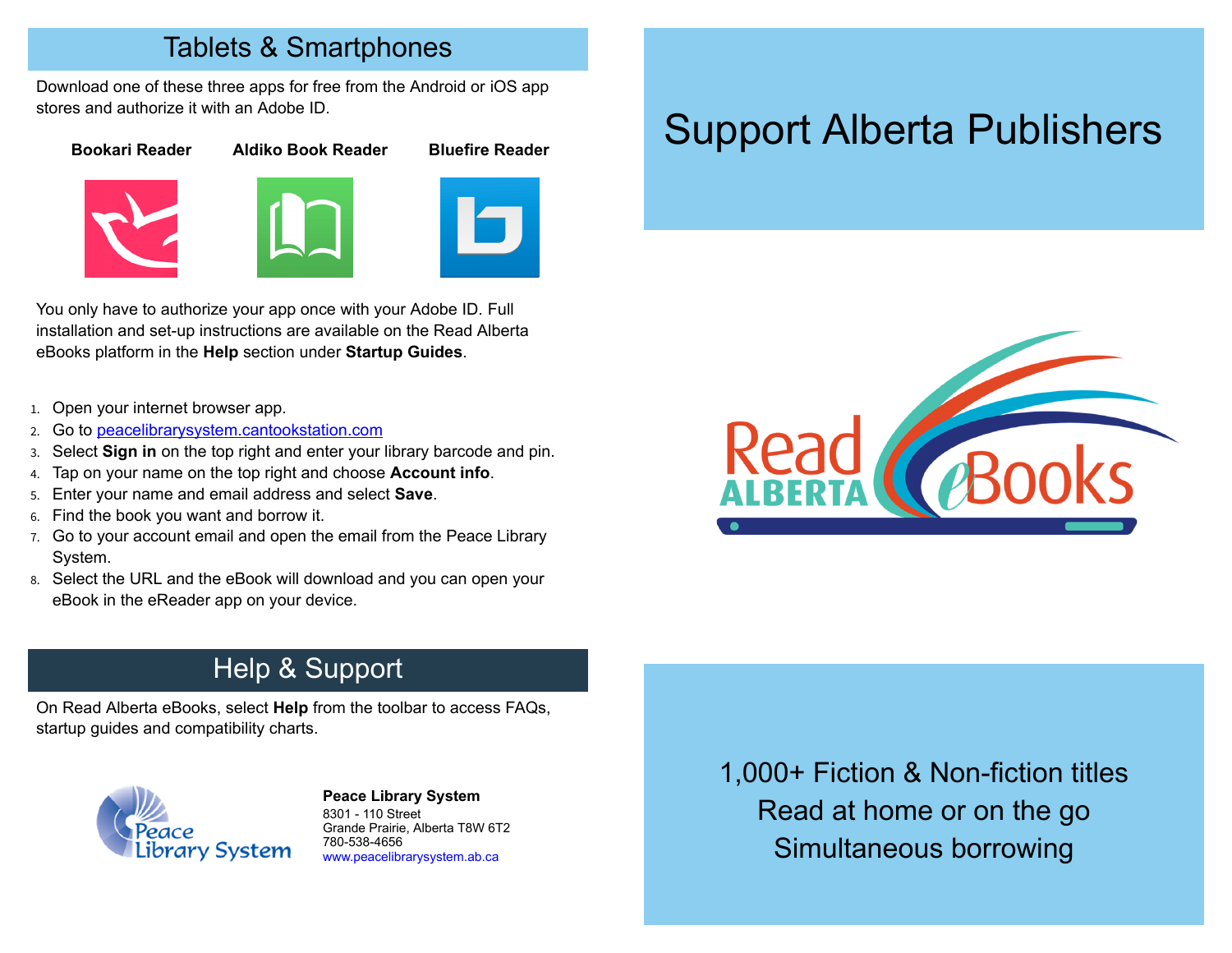#### Tablets & Smartphones

Download one of these three apps for free from the Android or iOS app stores and authorize it with an Adobe ID.

#### **Bookari Reader Aldiko Book Reader Bluefire Reader**







You only have to authorize your app once with your Adobe ID. Full installation and set-up instructions are available on the Read Alberta eBooks platform in the **Help** section under **Startup Guides**.

- 1. Open your internet browser app.
- 2. Go to peacelibrarysystem.cantookstation.com
- 3. Select **Sign in** on the top right and enter your library barcode and pin.
- 4. Tap on your name on the top right and choose **Account info**.
- 5. Enter your name and email address and select **Save**.
- 6. Find the book you want and borrow it.
- 7. Go to your account email and open the email from the Peace Library System.
- 8. Select the URL and the eBook will download and you can open your eBook in the eReader app on your device.

# Support Alberta Publishers



### Help & Support

On Read Alberta eBooks, select **Help** from the toolbar to access FAQs, startup guides and compatibility charts.



#### **[P](http://4la.co/1HQ0ZM)eace Library System** [8](http://4la.co/1HQ0ZM)301 - 110 Street Grande Prairie, Alberta T8W 6T2 780-538-4656 [www.peacelibrarysystem.ab.ca](http://4la.co/1HQ0ZM)

1,000+ Fiction & Non-fiction titles Read at home or on the go Simultaneous borrowing